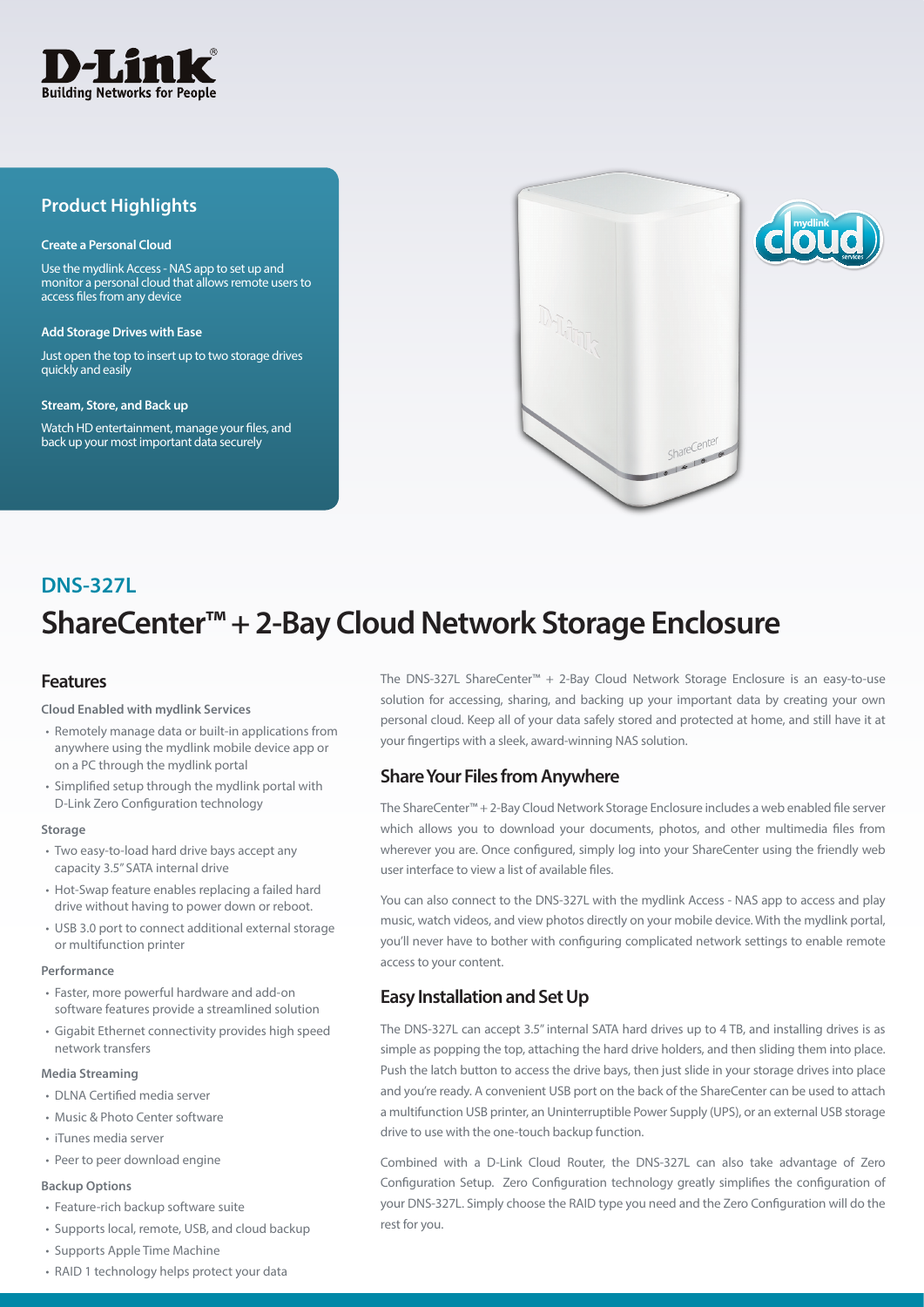

# **Product Highlights**

#### **Create a Personal Cloud**

Use the mydlink Access - NAS app to set up and monitor a personal cloud that allows remote users to access files from any device

#### **Add Storage Drives with Ease**

Just open the top to insert up to two storage drives quickly and easily

#### **Stream, Store, and Back up**

Watch HD entertainment, manage your files, and back up your most important data securely



# **ShareCenter™ + 2-Bay Cloud Network Storage Enclosure DNS-327L**

### **Features**

#### **Cloud Enabled with mydlink Services**

- Remotely manage data or built-in applications from anywhere using the mydlink mobile device app or on a PC through the mydlink portal
- Simplified setup through the mydlink portal with D-Link Zero Configuration technology

#### **Storage**

- Two easy-to-load hard drive bays accept any capacity 3.5" SATA internal drive
- Hot-Swap feature enables replacing a failed hard drive without having to power down or reboot.
- USB 3.0 port to connect additional external storage or multifunction printer

#### **Performance**

- Faster, more powerful hardware and add-on software features provide a streamlined solution
- Gigabit Ethernet connectivity provides high speed network transfers

#### **Media Streaming**

- DLNA Certified media server
- Music & Photo Center software
- iTunes media server
- Peer to peer download engine

### **Backup Options**

- Feature-rich backup software suite
- Supports local, remote, USB, and cloud backup
- Supports Apple Time Machine
- RAID 1 technology helps protect your data

The DNS-327L ShareCenter™ + 2-Bay Cloud Network Storage Enclosure is an easy-to-use solution for accessing, sharing, and backing up your important data by creating your own personal cloud. Keep all of your data safely stored and protected at home, and still have it at your fingertips with a sleek, award-winning NAS solution.

### **Share Your Files from Anywhere**

The ShareCenter™ + 2-Bay Cloud Network Storage Enclosure includes a web enabled file server which allows you to download your documents, photos, and other multimedia files from wherever you are. Once configured, simply log into your ShareCenter using the friendly web user interface to view a list of available files.

You can also connect to the DNS-327L with the mydlink Access - NAS app to access and play music, watch videos, and view photos directly on your mobile device. With the mydlink portal, you'll never have to bother with configuring complicated network settings to enable remote access to your content.

# **Easy Installation and Set Up**

The DNS-327L can accept 3.5" internal SATA hard drives up to 4 TB, and installing drives is as simple as popping the top, attaching the hard drive holders, and then sliding them into place. Push the latch button to access the drive bays, then just slide in your storage drives into place and you're ready. A convenient USB port on the back of the ShareCenter can be used to attach a multifunction USB printer, an Uninterruptible Power Supply (UPS), or an external USB storage drive to use with the one-touch backup function.

Combined with a D-Link Cloud Router, the DNS-327L can also take advantage of Zero Configuration Setup. Zero Configuration technology greatly simplifies the configuration of your DNS-327L. Simply choose the RAID type you need and the Zero Configuration will do the rest for you.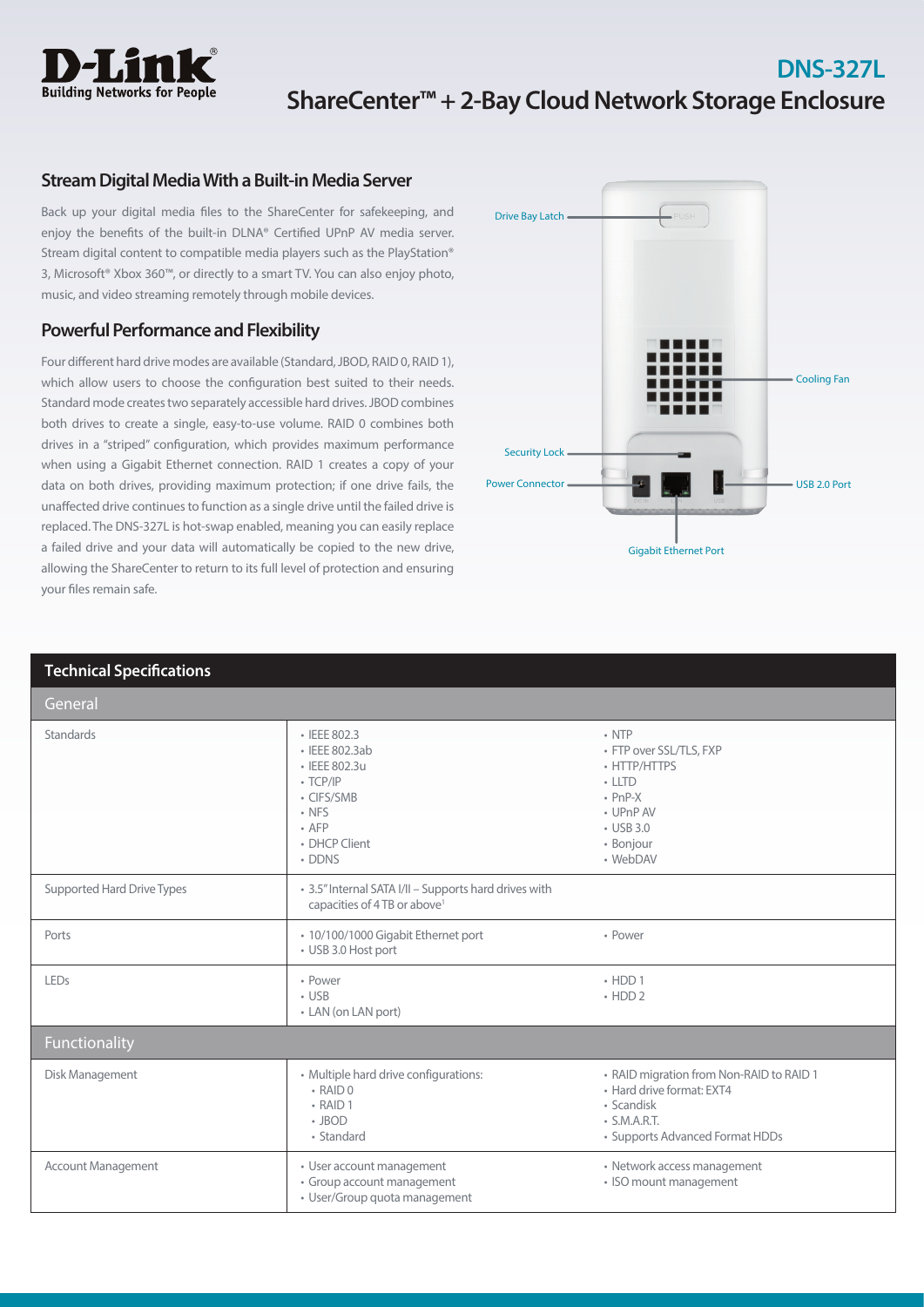

# **DNS-327L ShareCenter™ + 2-Bay Cloud Network Storage Enclosure**

## **Stream Digital Media With a Built-in Media Server**

Back up your digital media files to the ShareCenter for safekeeping, and enjoy the benefits of the built-in DLNA® Certified UPnP AV media server. Stream digital content to compatible media players such as the PlayStation® 3, Microsoft® Xbox 360™, or directly to a smart TV. You can also enjoy photo, music, and video streaming remotely through mobile devices.

# **Powerful Performance and Flexibility**

Four different hard drive modes are available (Standard, JBOD, RAID 0, RAID 1), which allow users to choose the configuration best suited to their needs. Standard mode creates two separately accessible hard drives. JBOD combines both drives to create a single, easy-to-use volume. RAID 0 combines both drives in a "striped" configuration, which provides maximum performance when using a Gigabit Ethernet connection. RAID 1 creates a copy of your data on both drives, providing maximum protection; if one drive fails, the unaffected drive continues to function as a single drive until the failed drive is replaced. The DNS-327L is hot-swap enabled, meaning you can easily replace a failed drive and your data will automatically be copied to the new drive, allowing the ShareCenter to return to its full level of protection and ensuring your files remain safe.



| <b>Technical Specifications</b> |                                                                                                                                          |                                                                                                                                                  |
|---------------------------------|------------------------------------------------------------------------------------------------------------------------------------------|--------------------------------------------------------------------------------------------------------------------------------------------------|
| General                         |                                                                                                                                          |                                                                                                                                                  |
| <b>Standards</b>                | • IEEE 802.3<br>· IEEE 802.3ab<br>• IEEE 802.3u<br>$\cdot$ TCP/IP<br>• CIFS/SMB<br>$\cdot$ NFS<br>$\cdot$ AFP<br>• DHCP Client<br>• DDNS | $\cdot$ NTP<br>• FTP over SSL/TLS, FXP<br>• HTTP/HTTPS<br>$\cdot$ LLTD<br>$\cdot$ PnP-X<br>• UPnP AV<br>$\cdot$ USB 3.0<br>• Bonjour<br>• WebDAV |
| Supported Hard Drive Types      | • 3.5" Internal SATA I/II - Supports hard drives with<br>capacities of 4 TB or above <sup>1</sup>                                        |                                                                                                                                                  |
| Ports                           | · 10/100/1000 Gigabit Ethernet port<br>• USB 3.0 Host port                                                                               | • Power                                                                                                                                          |
| LEDs                            | • Power<br>$\cdot$ USB<br>• LAN (on LAN port)                                                                                            | $\cdot$ HDD 1<br>$\cdot$ HDD 2                                                                                                                   |
| Functionality                   |                                                                                                                                          |                                                                                                                                                  |
| Disk Management                 | • Multiple hard drive configurations:<br>$\cdot$ RAID 0<br>$\cdot$ RAID 1<br>$\cdot$ JBOD<br>• Standard                                  | • RAID migration from Non-RAID to RAID 1<br>• Hard drive format: EXT4<br>• Scandisk<br>$\cdot$ S.M.A.R.T.<br>• Supports Advanced Format HDDs     |
| Account Management              | • User account management<br>• Group account management<br>• User/Group quota management                                                 | • Network access management<br>• ISO mount management                                                                                            |